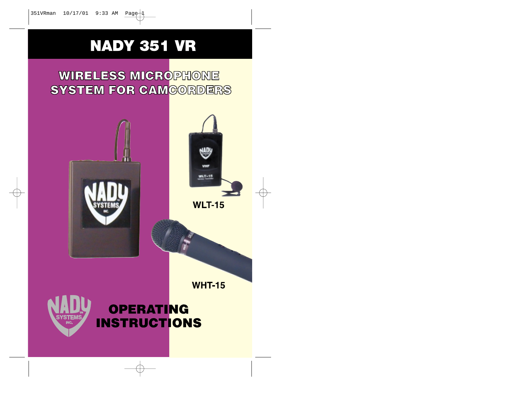⊕

# **NADY 351 VR**

**WIRELESS MICROPHONE SYSTEM FOR CAMCORDERS** 

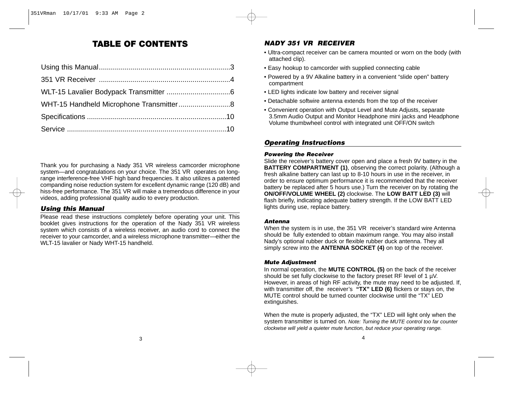# **TABLE OF CONTENTS**

| WHT-15 Handheld Microphone Transmitter8 |  |
|-----------------------------------------|--|
|                                         |  |
|                                         |  |

Thank you for purchasing a Nady 351 VR wireless camcorder microphone system—and congratulations on your choice. The 351 VR operates on longrange interference-free VHF high band frequencies. It also utilizes a patented companding noise reduction system for excellent dynamic range (120 dB) and hiss-free performance. The 351 VR will make a tremendous difference in your videos, adding professional quality audio to every production.

# *Using this Manual*

Please read these instructions completely before operating your unit. This booklet gives instructions for the operation of the Nady 351 VR wireless system which consists of a wireless receiver, an audio cord to connect the receiver to your camcorder, and a wireless microphone transmitter—either the WLT-15 lavalier or Nady WHT-15 handheld.

# *NADY 351 VR RECEIVER*

- Ultra-compact receiver can be camera mounted or worn on the body (with attached clip).
- Easy hookup to camcorder with supplied connecting cable
- Powered by a 9V Alkaline battery in a convenient "slide open" battery compartment
- LED lights indicate low battery and receiver signal
- Detachable softwire antenna extends from the top of the receiver
- Convenient operation with Output Level and Mute Adjusts, separate 3.5mm Audio Output and Monitor Headphone mini jacks and Headphone Volume thumbwheel control with integrated unit OFF/ON switch

## *Operating Instructions*

#### *Powering the Receiver*

Slide the receiver's battery cover open and place a fresh 9V battery in the **BATTERY COMPARTMENT (1), observing the correct polarity. (Although a** fresh alkaline battery can last up to 8-10 hours in use in the receiver, in order to ensure optimum performance it is recommended that the receiver battery be replaced after 5 hours use.) Turn the receiver on by rotating the **ON/OFF/VOLUME WHEEL (2)** clockwise. The **LOW BATT LED (3)** will flash briefly, indicating adequate battery strength. If the LOW BATT LED lights during use, replace battery.

#### *Antenna*

When the system is in use, the 351 VR receiver's standard wire Antenna should be fully extended to obtain maximum range. You may also install Nady's optional rubber duck or flexible rubber duck antenna. They all simply screw into the **ANTENNA SOCKET (4)** on top of the receiver.

#### *Mute Adjustment*

In normal operation, the **MUTE CONTROL (5)** on the back of the receiver should be set fully clockwise to the factory preset RF level of 1  $\mu$ V. However, in areas of high RF activity, the mute may need to be adjusted. If, with transmitter off, the receiver's **"TX" LED (6)** flickers or stays on, the MUTE control should be turned counter clockwise until the "TX" LED extinguishes.

When the mute is properly adjusted, the "TX" LED will light only when the system transmitter is turned on. Note: Turning the MUTE control too far counter clockwise will yield a quieter mute function, but reduce your operating range.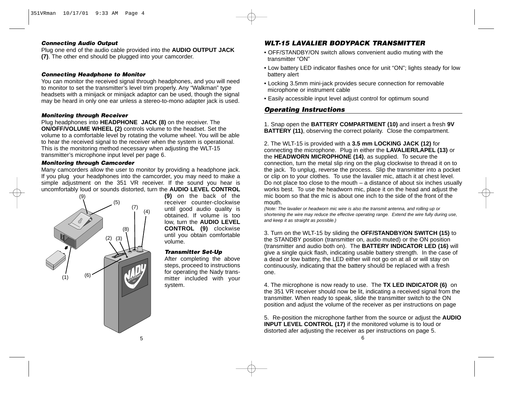#### *Connecting Audio Output*

Plug one end of the audio cable provided into the **AUDIO OUTPUT JACK (7)**. The other end should be plugged into your camcorder.

#### *Connecting Headphone to Monitor*

You can monitor the received signal through headphones, and you will need to monitor to set the transmitter's level trim properly. Any "Walkman" type headsets with a minijack or minijack adaptor can be used, though the signal may be heard in only one ear unless a stereo-to-mono adapter jack is used.

#### *Monitoring through Receiver*

Plug headphones into **HEADPHONE JACK (8)** on the receiver. The **ON/OFF/VOLUME WHEEL (2)** controls volume to the headset. Set the volume to a comfortable level by rotating the volume wheel. You will be able to hear the received signal to the receiver when the system is operational. This is the monitoring method necessary when adjusting the WLT-15 transmitter's microphone input level per page 6.

#### *Monitoring through Camcorder*

Many camcorders allow the user to monitor by providing a headphone jack. If you plug your headphones into the camcorder, you may need to make a simple adjustment on the 351 VR receiver. If the sound you hear is uncomfortably loud or sounds distorted, turn the **AUDIO LEVEL CONTROL**



**(9)** on the back of the receiver counter-clockwise until good audio quality is obtained. If volume is too low, turn the **AUDIO LEVEL CONTROL (9)** clockwise until you obtain comfortable volume.

## *Transmitter Set-Up*

After completing the above steps, proceed to instructions for operating the Nady transmitter included with your system.

# *WLT-15 LAVALIER BODYPACK TRANSMITTER*

- OFF/STANDBY/ON switch allows convenient audio muting with the transmitter "ON"
- Low battery LED indicator flashes once for unit "ON"; lights steady for low battery alert
- Locking 3.5mm mini-jack provides secure connection for removable microphone or instrument cable
- Easily accessible input level adjust control for optimum sound

# *Operating Instructions*

1. Snap open the **BATTERY COMPARTMENT (10)** and insert a fresh **9V BATTERY (11)**, observing the correct polarity. Close the compartment.

2. The WLT-15 is provided with a **3.5 mm LOCKING JACK (12)** for connecting the microphone. Plug in either the **LAVALIER/LAPEL (13)** or the **HEADWORN MICROPHONE (14)**, as supplied. To secure the connection, turn the metal slip ring on the plug clockwise to thread it on to the jack. To unplug, reverse the process. Slip the transmitter into a pocket or clip on to your clothes. To use the lavalier mic, attach it at chest level. Do not place too close to the mouth  $-$  a distance of about six inches usually works best. To use the headworn mic, place it on the head and adjust the mic boom so that the mic is about one inch to the side of the front of the mouth.

(Note: The lavalier or headworn mic wire is also the transmit antenna, and rolling up or shortening the wire may reduce the effective operating range. Extend the wire fully during use, and keep it as straight as possible.)

3. Turn on the WLT-15 by sliding the **OFF/STANDBY/ON SWITCH (15)** to the STANDBY position (transmitter on, audio muted) or the ON position (transmitter and audio both on). The **BATTERY INDICATOR LED (16)** will give a single quick flash, indicating usable battery strength. In the case of a dead or low battery, the LED either will not go on at all or will stay on continuously, indicating that the battery should be replaced with a fresh one.

4. The microphone is now ready to use. The **TX LED INDICATOR (6)** on the 351 VR receiver should now be lit, indicating a received signal from the transmitter. When ready to speak, slide the transmitter switch to the ON position and adjust the volume of the receiver as per instructions on page

6 5. Re-position the microphone farther from the source or adjust the **AUDIO INPUT LEVEL CONTROL (17)** if the monitored volume is to loud or distorted afer adjusting the receiver as per instructions on page 5.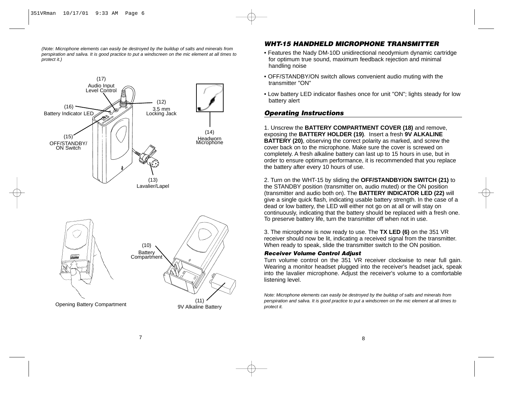(Note: Microphone elements can easily be destroyed by the buildup of salts and minerals from perspiration and saliva. It is good practice to put a windscreen on the mic element at all times to protect it.)



## *WHT-15 HANDHELD MICROPHONE TRANSMITTER*

- Features the Nady DM-10D unidirectional neodymium dynamic cartridge for optimum true sound, maximum feedback rejection and minimal handling noise
- OFF/STANDBY/ON switch allows convenient audio muting with the transmitter "ON"
- Low battery LED indicator flashes once for unit "ON"; lights steady for low battery alert

## *Operating Instructions*

1. Unscrew the **BATTERY COMPARTMENT COVER (18)** and remove, exposing the **BATTERY HOLDER (19)**. Insert a fresh **9V ALKALINE BATTERY** (20), observing the correct polarity as marked, and screw the cover back on to the microphone. Make sure the cover is screwed on completely. A fresh alkaline battery can last up to 15 hours in use, but in order to ensure optimum performance, it is recommended that you replace the battery after every 10 hours of use.

2. Turn on the WHT-15 by sliding the **OFF/STANDBY/ON SWITCH (21)** to the STANDBY position (transmitter on, audio muted) or the ON position (transmitter and audio both on). The **BATTERY INDICATOR LED (22)** will give a single quick flash, indicating usable battery strength. In the case of a dead or low battery, the LED will either not go on at all or will stay on continuously, indicating that the battery should be replaced with a fresh one. To preserve battery life, turn the transmitter off when not in use.

3. The microphone is now ready to use. The **TX LED (6)** on the 351 VR receiver should now be lit, indicating a received signal from the transmitter. When ready to speak, slide the transmitter switch to the ON position.

#### *Receiver Volume Control Adjust*

Turn volume control on the 351 VR receiver clockwise to near full gain. Wearing a monitor headset plugged into the receiver's headset jack, speak into the lavalier microphone. Adjust the receiver's volume to a comfortable listening level.

Note: Microphone elements can easily be destroyed by the buildup of salts and minerals from perspiration and saliva. It is good practice to put a windscreen on the mic element at all times to protect it.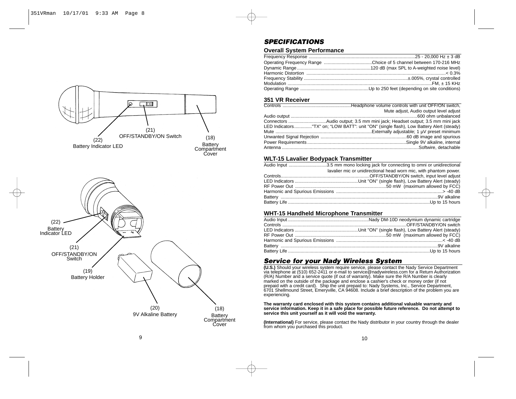



# *SPECIFICATIONS*

## **Overall System Performance**

#### **351 VR Receiver**

| Mute adjust, Audio output level adjust                                                  |
|-----------------------------------------------------------------------------------------|
|                                                                                         |
| Connectors Audio output; 3.5 mm mini jack; Headset output; 3.5 mm mini jack             |
| LED Indicators"TX" on: "LOW BATT": unit "ON" (single flash), Low Battery Alert (steady) |
|                                                                                         |
|                                                                                         |
|                                                                                         |
|                                                                                         |

#### **WLT-15 Lavalier Bodypack Transmitter**

| Audio Input 3.5 mm mono locking jack for connecting to omni or unidirectional |
|-------------------------------------------------------------------------------|
| lavalier mic or unidirectional head worn mic, with phantom power.             |
|                                                                               |
|                                                                               |
|                                                                               |
|                                                                               |
|                                                                               |
|                                                                               |
|                                                                               |

## **WHT-15 Handheld Microphone Transmitter**

# *Service for your Nady Wireless System*

**(U.S.)** Should your wireless system require service, please contact the Nady Service Department<br>via telephone at (510) 652-2411 or e-mail to service@nadywireless.com for a Return Authorization (R/A) Number and a service quote (if out of warranty). Make sure the R/A Number is clearly<br>marked on the outside of the package and enclose a cashier's check or money order (if not<br>prepaid with a credit card). Ship the uni experiencing.

#### **The warranty card enclosed with this system contains additional valuable warranty and service information. Keep it in a safe place for possible future reference. Do not attempt to service this unit yourself as it will void the warranty.**

**(International)** For service, please contact the Nady distributor in your country through the dealer from whom you purchased this product.